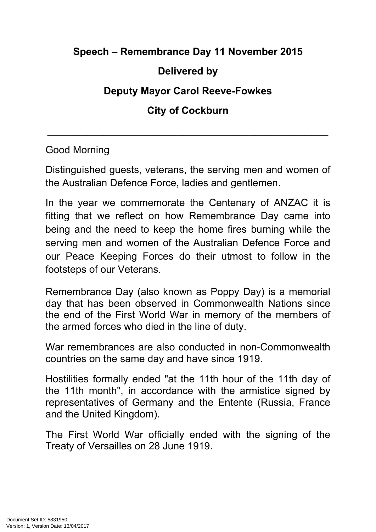## **Speech – Remembrance Day 11 November 2015**

## **Delivered by**

## **Deputy Mayor Carol Reeve-Fowkes**

## **City of Cockburn**

**\_\_\_\_\_\_\_\_\_\_\_\_\_\_\_\_\_\_\_\_\_\_\_\_\_\_\_\_\_\_\_\_\_\_\_\_\_\_\_\_\_\_\_\_\_\_\_\_\_\_**

Good Morning

Distinguished guests, veterans, the serving men and women of the Australian Defence Force, ladies and gentlemen.

In the year we commemorate the Centenary of ANZAC it is fitting that we reflect on how Remembrance Day came into being and the need to keep the home fires burning while the serving men and women of the Australian Defence Force and our Peace Keeping Forces do their utmost to follow in the footsteps of our Veterans.

Remembrance Day (also known as Poppy Day) is a memorial day that has been observed in Commonwealth Nations since the end of the First World War in memory of the members of the armed forces who died in the line of duty.

War remembrances are also conducted in non-Commonwealth countries on the same day and have since 1919.

Hostilities formally ended "at the 11th hour of the 11th day of the 11th month", in accordance with the armistice signed by representatives of Germany and the Entente (Russia, France and the United Kingdom).

The First World War officially ended with the signing of the Treaty of Versailles on 28 June 1919.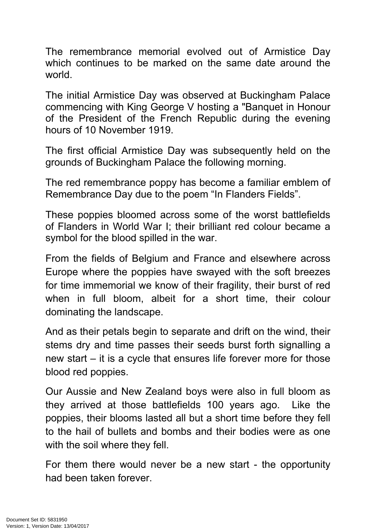The remembrance memorial evolved out of Armistice Day which continues to be marked on the same date around the world.

The initial Armistice Day was observed at Buckingham Palace commencing with King George V hosting a "Banquet in Honour of the President of the French Republic during the evening hours of 10 November 1919.

The first official Armistice Day was subsequently held on the grounds of Buckingham Palace the following morning.

The red remembrance poppy has become a familiar emblem of Remembrance Day due to the poem "In Flanders Fields".

These poppies bloomed across some of the worst battlefields of Flanders in World War I; their brilliant red colour became a symbol for the blood spilled in the war.

From the fields of Belgium and France and elsewhere across Europe where the poppies have swayed with the soft breezes for time immemorial we know of their fragility, their burst of red when in full bloom, albeit for a short time, their colour dominating the landscape.

And as their petals begin to separate and drift on the wind, their stems dry and time passes their seeds burst forth signalling a new start – it is a cycle that ensures life forever more for those blood red poppies.

Our Aussie and New Zealand boys were also in full bloom as they arrived at those battlefields 100 years ago. Like the poppies, their blooms lasted all but a short time before they fell to the hail of bullets and bombs and their bodies were as one with the soil where they fell.

For them there would never be a new start - the opportunity had been taken forever.